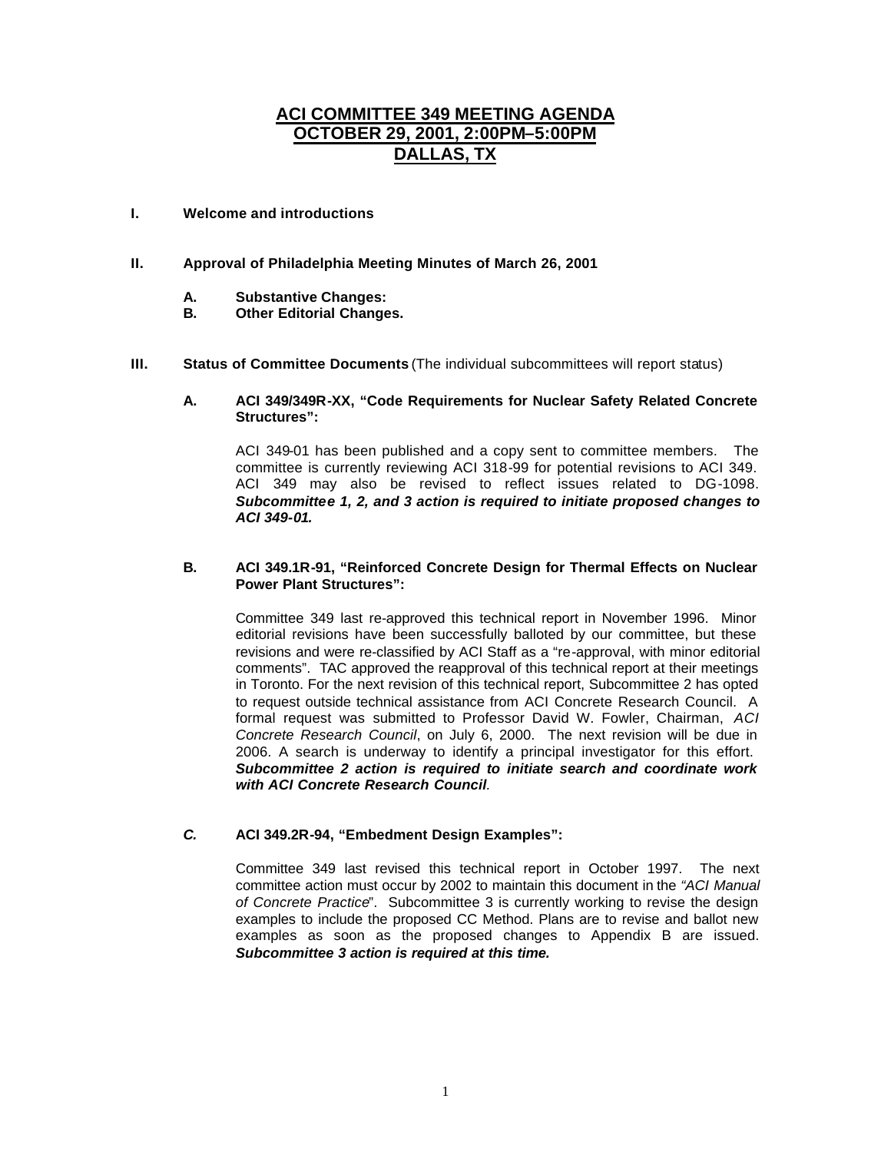# **ACI COMMITTEE 349 MEETING AGENDA OCTOBER 29, 2001, 2:00PM–5:00PM DALLAS, TX**

## **I. Welcome and introductions**

#### **II. Approval of Philadelphia Meeting Minutes of March 26, 2001**

- **A. Substantive Changes:**
- **B. Other Editorial Changes.**
- **III. Status of Committee Documents** (The individual subcommittees will report status)

#### **A. ACI 349/349R-XX, "Code Requirements for Nuclear Safety Related Concrete Structures":**

ACI 349-01 has been published and a copy sent to committee members. The committee is currently reviewing ACI 318-99 for potential revisions to ACI 349. ACI 349 may also be revised to reflect issues related to DG-1098. *Subcommittee 1, 2, and 3 action is required to initiate proposed changes to ACI 349-01.*

#### **B. ACI 349.1R-91, "Reinforced Concrete Design for Thermal Effects on Nuclear Power Plant Structures":**

Committee 349 last re-approved this technical report in November 1996. Minor editorial revisions have been successfully balloted by our committee, but these revisions and were re-classified by ACI Staff as a "re-approval, with minor editorial comments". TAC approved the reapproval of this technical report at their meetings in Toronto. For the next revision of this technical report, Subcommittee 2 has opted to request outside technical assistance from ACI Concrete Research Council. A formal request was submitted to Professor David W. Fowler, Chairman, *ACI Concrete Research Council*, on July 6, 2000. The next revision will be due in 2006. A search is underway to identify a principal investigator for this effort. *Subcommittee 2 action is required to initiate search and coordinate work with ACI Concrete Research Council.*

#### *C.* **ACI 349.2R-94, "Embedment Design Examples":**

Committee 349 last revised this technical report in October 1997. The next committee action must occur by 2002 to maintain this document in the *"ACI Manual of Concrete Practice*". Subcommittee 3 is currently working to revise the design examples to include the proposed CC Method. Plans are to revise and ballot new examples as soon as the proposed changes to Appendix B are issued. *Subcommittee 3 action is required at this time.*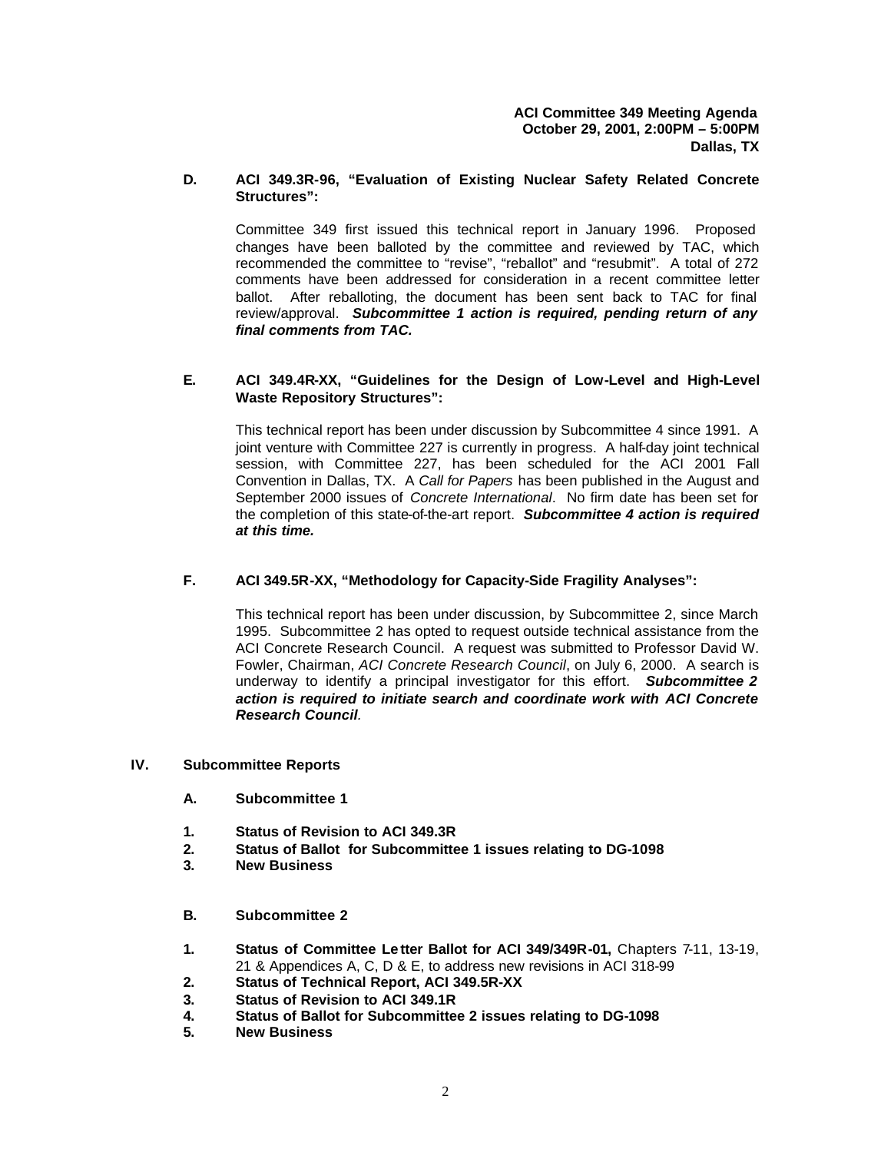## **D. ACI 349.3R-96, "Evaluation of Existing Nuclear Safety Related Concrete Structures":**

Committee 349 first issued this technical report in January 1996. Proposed changes have been balloted by the committee and reviewed by TAC, which recommended the committee to "revise", "reballot" and "resubmit". A total of 272 comments have been addressed for consideration in a recent committee letter ballot. After reballoting, the document has been sent back to TAC for final review/approval. *Subcommittee 1 action is required, pending return of any final comments from TAC.*

#### **E. ACI 349.4R-XX, "Guidelines for the Design of Low-Level and High-Level Waste Repository Structures":**

This technical report has been under discussion by Subcommittee 4 since 1991. A joint venture with Committee 227 is currently in progress. A half-day joint technical session, with Committee 227, has been scheduled for the ACI 2001 Fall Convention in Dallas, TX. A *Call for Papers* has been published in the August and September 2000 issues of *Concrete International*. No firm date has been set for the completion of this state-of-the-art report. *Subcommittee 4 action is required at this time.* 

## **F. ACI 349.5R-XX, "Methodology for Capacity-Side Fragility Analyses":**

This technical report has been under discussion, by Subcommittee 2, since March 1995. Subcommittee 2 has opted to request outside technical assistance from the ACI Concrete Research Council. A request was submitted to Professor David W. Fowler, Chairman, *ACI Concrete Research Council*, on July 6, 2000. A search is underway to identify a principal investigator for this effort. *Subcommittee 2 action is required to initiate search and coordinate work with ACI Concrete Research Council.*

#### **IV. Subcommittee Reports**

- **A. Subcommittee 1**
- **1. Status of Revision to ACI 349.3R**
- **2. Status of Ballot for Subcommittee 1 issues relating to DG-1098**
- **3. New Business**
- **B. Subcommittee 2**
- **1. Status of Committee Le tter Ballot for ACI 349/349R-01,** Chapters 7-11, 13-19, 21 & Appendices A, C, D & E, to address new revisions in ACI 318-99
- **2. Status of Technical Report, ACI 349.5R-XX**
- **3. Status of Revision to ACI 349.1R**
- **4. Status of Ballot for Subcommittee 2 issues relating to DG-1098**
- **5. New Business**